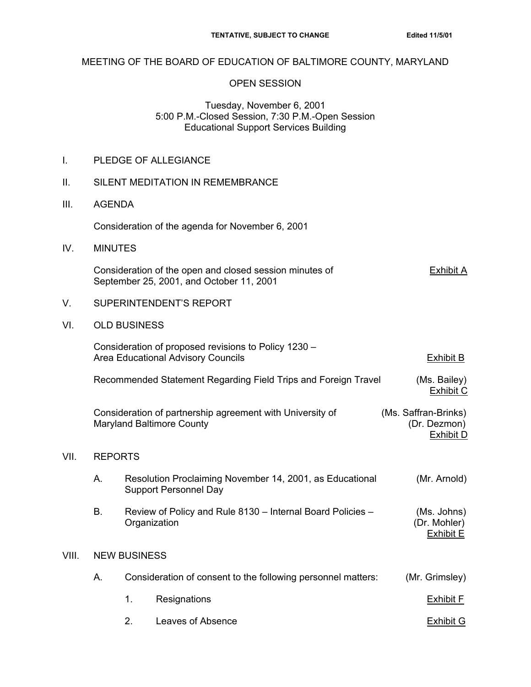## MEETING OF THE BOARD OF EDUCATION OF BALTIMORE COUNTY, MARYLAND

#### OPEN SESSION

### Tuesday, November 6, 2001 5:00 P.M.-Closed Session, 7:30 P.M.-Open Session Educational Support Services Building

|  | PLEDGE OF ALLEGIANCE |
|--|----------------------|
|--|----------------------|

### II. SILENT MEDITATION IN REMEMBRANCE

III. AGENDA

Consideration of the agenda for November 6, 2001

IV. MINUTES

Consideration of the open and closed session minutes of Exhibit A September 25, 2001, and October 11, 2001

- V. SUPERINTENDENT'S REPORT
- VI. OLD BUSINESS

|       |                                                                                               |    | Consideration of proposed revisions to Policy 1230 -<br><b>Area Educational Advisory Councils</b> | <b>Exhibit B</b>                                         |  |
|-------|-----------------------------------------------------------------------------------------------|----|---------------------------------------------------------------------------------------------------|----------------------------------------------------------|--|
|       | Recommended Statement Regarding Field Trips and Foreign Travel                                |    |                                                                                                   | (Ms. Bailey)<br><b>Exhibit C</b>                         |  |
|       | Consideration of partnership agreement with University of<br><b>Maryland Baltimore County</b> |    |                                                                                                   | (Ms. Saffran-Brinks)<br>(Dr. Dezmon)<br><b>Exhibit D</b> |  |
| VII.  | <b>REPORTS</b>                                                                                |    |                                                                                                   |                                                          |  |
|       | А.                                                                                            |    | Resolution Proclaiming November 14, 2001, as Educational<br><b>Support Personnel Day</b>          | (Mr. Arnold)                                             |  |
|       | <b>B.</b>                                                                                     |    | Review of Policy and Rule 8130 - Internal Board Policies -<br>Organization                        | (Ms. Johns)<br>(Dr. Mohler)<br>Exhibit E                 |  |
| VIII. | <b>NEW BUSINESS</b>                                                                           |    |                                                                                                   |                                                          |  |
|       | Α.                                                                                            |    | Consideration of consent to the following personnel matters:                                      | (Mr. Grimsley)                                           |  |
|       |                                                                                               | 1. | Resignations                                                                                      | <b>Exhibit F</b>                                         |  |
|       |                                                                                               | 2. | Leaves of Absence                                                                                 | <b>Exhibit G</b>                                         |  |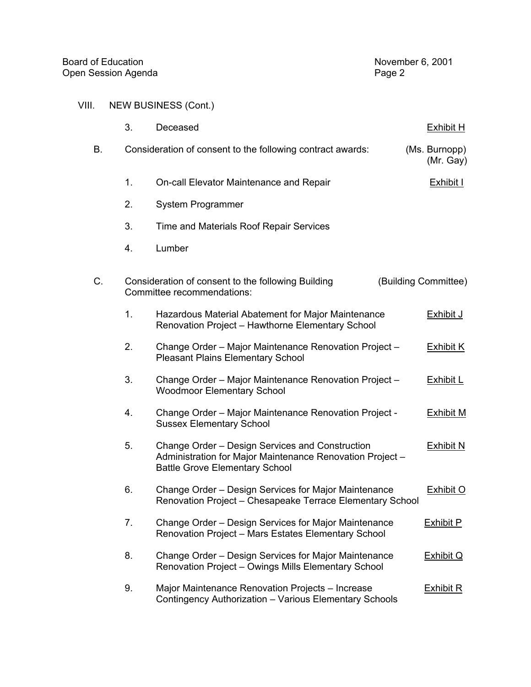# VIII. NEW BUSINESS (Cont.)

|    | 3. | Deceased                                                                                                                                              | <b>Exhibit H</b>           |
|----|----|-------------------------------------------------------------------------------------------------------------------------------------------------------|----------------------------|
| В. |    | Consideration of consent to the following contract awards:                                                                                            | (Ms. Burnopp)<br>(Mr. Gay) |
|    | 1. | On-call Elevator Maintenance and Repair                                                                                                               | <b>Exhibit I</b>           |
|    | 2. | System Programmer                                                                                                                                     |                            |
|    | 3. | Time and Materials Roof Repair Services                                                                                                               |                            |
|    | 4. | Lumber                                                                                                                                                |                            |
| C. |    | Consideration of consent to the following Building<br>Committee recommendations:                                                                      | (Building Committee)       |
|    | 1. | Hazardous Material Abatement for Major Maintenance<br>Renovation Project - Hawthorne Elementary School                                                | <b>Exhibit J</b>           |
|    | 2. | Change Order - Major Maintenance Renovation Project -<br><b>Pleasant Plains Elementary School</b>                                                     | <b>Exhibit K</b>           |
|    | 3. | Change Order - Major Maintenance Renovation Project -<br><b>Woodmoor Elementary School</b>                                                            | <b>Exhibit L</b>           |
|    | 4. | Change Order - Major Maintenance Renovation Project -<br><b>Sussex Elementary School</b>                                                              | <b>Exhibit M</b>           |
|    | 5. | Change Order - Design Services and Construction<br>Administration for Major Maintenance Renovation Project -<br><b>Battle Grove Elementary School</b> | <b>Exhibit N</b>           |
|    | 6. | Change Order - Design Services for Major Maintenance<br>Renovation Project - Chesapeake Terrace Elementary School                                     | <b>Exhibit O</b>           |
|    | 7. | Change Order – Design Services for Major Maintenance<br>Renovation Project - Mars Estates Elementary School                                           | <b>Exhibit P</b>           |
|    | 8. | Change Order - Design Services for Major Maintenance<br>Renovation Project - Owings Mills Elementary School                                           | <b>Exhibit Q</b>           |
|    | 9. | Major Maintenance Renovation Projects - Increase<br>Contingency Authorization - Various Elementary Schools                                            | <u>Exhibit R</u>           |